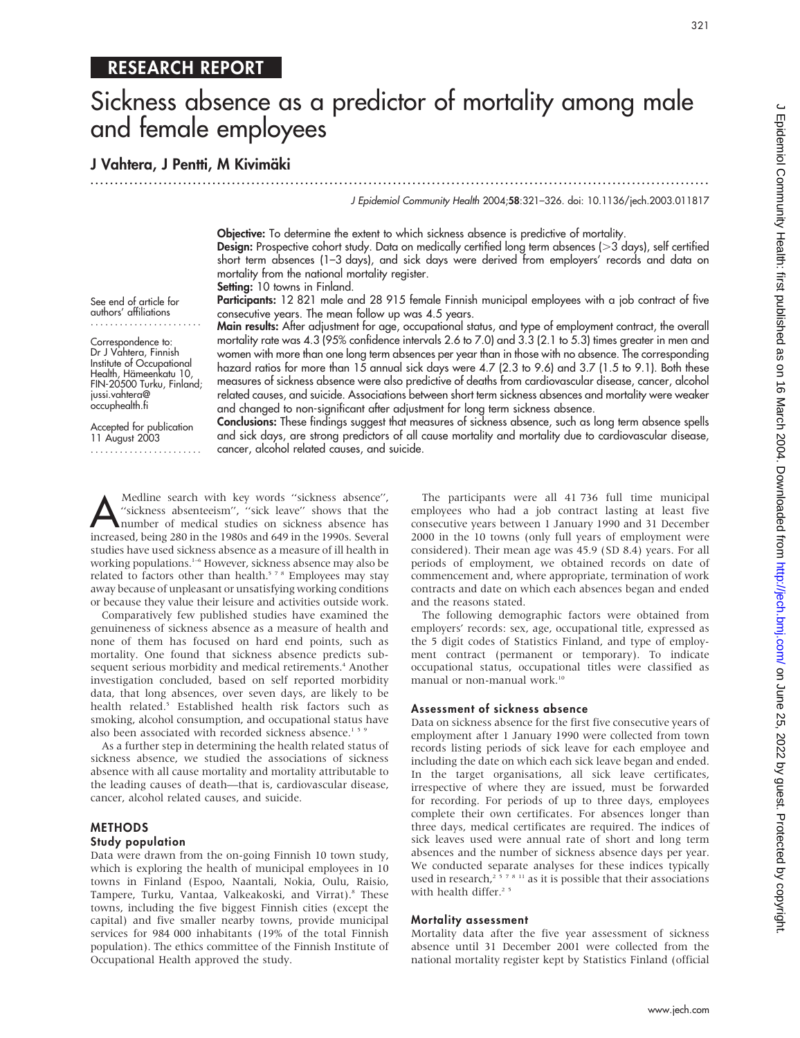## RESEARCH REPORT

## Sickness absence as a predictor of mortality among male and female employees

J Vahtera, J Pentti, M Kivimäki

.............................................................................................................................. .

J Epidemiol Community Health 2004;58:321–326. doi: 10.1136/jech.2003.011817

Objective: To determine the extent to which sickness absence is predictive of mortality. **Design:** Prospective cohort study. Data on medically certified long term absences ( $>3$  days), self certified short term absences (1–3 days), and sick days were derived from employers' records and data on mortality from the national mortality register. Setting: 10 towns in Finland.

Participants: 12 821 male and 28 915 female Finnish municipal employees with a job contract of five consecutive years. The mean follow up was 4.5 years.

Main results: After adjustment for age, occupational status, and type of employment contract, the overall mortality rate was 4.3 (95% confidence intervals 2.6 to 7.0) and 3.3 (2.1 to 5.3) times greater in men and women with more than one long term absences per year than in those with no absence. The corresponding hazard ratios for more than 15 annual sick days were 4.7 (2.3 to 9.6) and 3.7 (1.5 to 9.1). Both these measures of sickness absence were also predictive of deaths from cardiovascular disease, cancer, alcohol related causes, and suicide. Associations between short term sickness absences and mortality were weaker and changed to non-significant after adjustment for long term sickness absence.

Accepted for publication 11 August 2003 .......................

See end of article for authors' affiliations ....................... Correspondence to: Dr J Vahtera, Finnish Institute of Occupational Health, Ha¨meenkatu 10, FIN-20500 Turku, Finland;

jussi.vahtera@ occuphealth.fi

> Conclusions: These findings suggest that measures of sickness absence, such as long term absence spells and sick days, are strong predictors of all cause mortality and mortality due to cardiovascular disease, cancer, alcohol related causes, and suicide.

Medline search with key words "sickness absence",<br>"sickness absenteeism", "sick leave" shows that the<br>number of medical studies on sickness absence has<br>increased being 280 in the 1980s and 649 in the 1990s Several "sickness absenteeism", "sick leave" shows that the number of medical studies on sickness absence has increased, being 280 in the 1980s and 649 in the 1990s. Several studies have used sickness absence as a measure of ill health in working populations.<sup>1-6</sup> However, sickness absence may also be related to factors other than health.<sup>578</sup> Employees may stay away because of unpleasant or unsatisfying working conditions or because they value their leisure and activities outside work.

Comparatively few published studies have examined the genuineness of sickness absence as a measure of health and none of them has focused on hard end points, such as mortality. One found that sickness absence predicts subsequent serious morbidity and medical retirements.<sup>4</sup> Another investigation concluded, based on self reported morbidity data, that long absences, over seven days, are likely to be health related.<sup>5</sup> Established health risk factors such as smoking, alcohol consumption, and occupational status have also been associated with recorded sickness absence.<sup>159</sup>

As a further step in determining the health related status of sickness absence, we studied the associations of sickness absence with all cause mortality and mortality attributable to the leading causes of death—that is, cardiovascular disease, cancer, alcohol related causes, and suicide.

#### METHODS

## Study population

Data were drawn from the on-going Finnish 10 town study, which is exploring the health of municipal employees in 10 towns in Finland (Espoo, Naantali, Nokia, Oulu, Raisio, Tampere, Turku, Vantaa, Valkeakoski, and Virrat).<sup>8</sup> These towns, including the five biggest Finnish cities (except the capital) and five smaller nearby towns, provide municipal services for 984 000 inhabitants (19% of the total Finnish population). The ethics committee of the Finnish Institute of Occupational Health approved the study.

The participants were all 41 736 full time municipal employees who had a job contract lasting at least five consecutive years between 1 January 1990 and 31 December 2000 in the 10 towns (only full years of employment were considered). Their mean age was 45.9 (SD 8.4) years. For all periods of employment, we obtained records on date of commencement and, where appropriate, termination of work contracts and date on which each absences began and ended and the reasons stated.

The following demographic factors were obtained from employers' records: sex, age, occupational title, expressed as the 5 digit codes of Statistics Finland, and type of employment contract (permanent or temporary). To indicate occupational status, occupational titles were classified as manual or non-manual work.<sup>10</sup>

## Assessment of sickness absence

Data on sickness absence for the first five consecutive years of employment after 1 January 1990 were collected from town records listing periods of sick leave for each employee and including the date on which each sick leave began and ended. In the target organisations, all sick leave certificates, irrespective of where they are issued, must be forwarded for recording. For periods of up to three days, employees complete their own certificates. For absences longer than three days, medical certificates are required. The indices of sick leaves used were annual rate of short and long term absences and the number of sickness absence days per year. We conducted separate analyses for these indices typically used in research,<sup>2 5 7 8 11</sup> as it is possible that their associations with health differ.<sup>25</sup>

#### Mortality assessment

Mortality data after the five year assessment of sickness absence until 31 December 2001 were collected from the national mortality register kept by Statistics Finland (official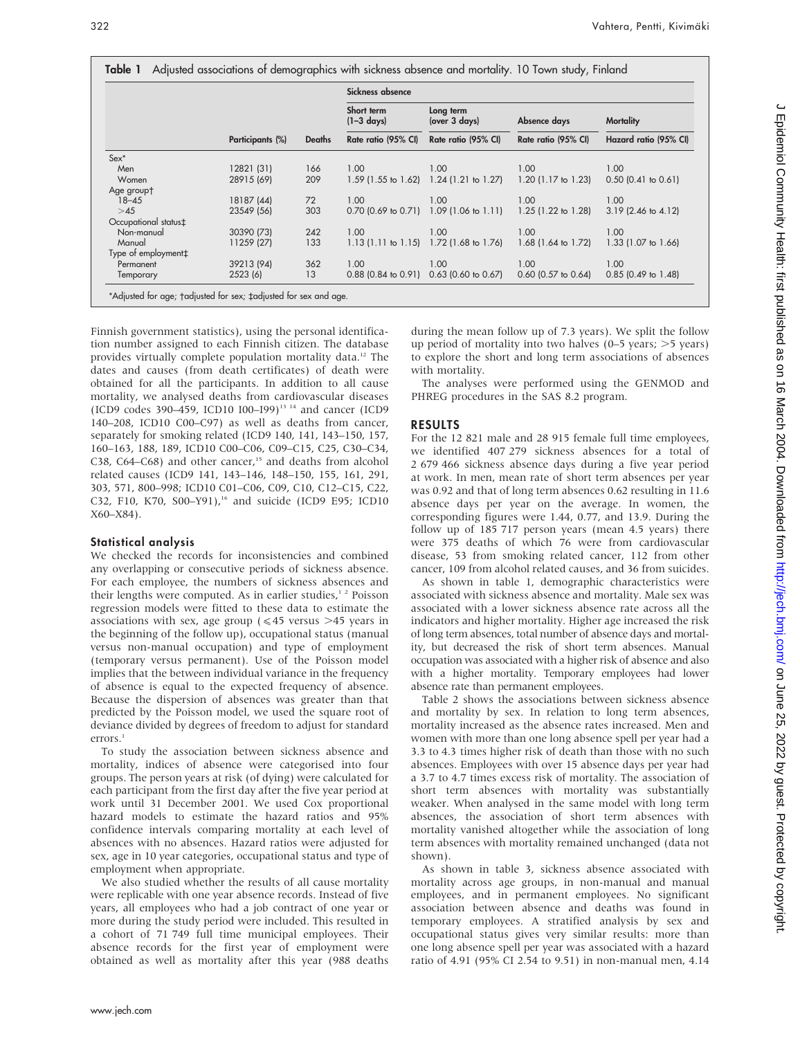|                                 |                  |               | Sickness absence                   |                                         |                                |                       |
|---------------------------------|------------------|---------------|------------------------------------|-----------------------------------------|--------------------------------|-----------------------|
|                                 |                  |               | Short term<br>$(1-3 \text{ days})$ | Long term<br>(over 3 days)              | Absence days                   | <b>Mortality</b>      |
|                                 | Participants (%) | <b>Deaths</b> | Rate ratio (95% CI)                | Rate ratio (95% CI)                     | Rate ratio (95% CI)            | Hazard ratio (95% CI) |
| $Sex*$                          |                  |               |                                    |                                         |                                |                       |
| Men                             | 12821 (31)       | 166           | 1.00                               | 1.00                                    | 1.00                           | 1.00                  |
| Women                           | 28915 (69)       | 209           |                                    | 1.59 (1.55 to 1.62) 1.24 (1.21 to 1.27) | 1.20 $(1.17 \text{ to } 1.23)$ | $0.50$ (0.41 to 0.61) |
| Age groupt                      |                  |               |                                    |                                         |                                |                       |
| $18 - 45$                       | 18187 (44)       | 72            | 1.00                               | 1.00                                    | 1.00                           | 1.00                  |
| >45                             | 23549 (56)       | 303           | $0.70$ (0.69 to 0.71)              | $1.09$ (1.06 to 1.11)                   | $1.25$ (1.22 to 1.28)          | $3.19$ (2.46 to 4.12) |
| Occupational status‡            |                  |               |                                    |                                         |                                |                       |
| Non-manual                      | 30390 (73)       | 242           | 1.00                               | 1.00                                    | 1.00                           | 1.00                  |
| Manual                          | 11259 (27)       | 133           | $1.13(1.11$ to $1.15)$             | 1.72 (1.68 to 1.76)                     | 1.68 (1.64 to 1.72)            | 1.33 (1.07 to 1.66)   |
| Type of employment <sup>+</sup> |                  |               |                                    |                                         |                                |                       |
| Permanent                       | 39213 (94)       | 362           | 1.00                               | 1.00                                    | 1.00                           | 1.00                  |
| Temporary                       | 2523(6)          | 13            | $0.88$ (0.84 to 0.91)              | $0.63$ (0.60 to 0.67)                   | $0.60$ (0.57 to 0.64)          | $0.85$ (0.49 to 1.48) |

Finnish government statistics), using the personal identification number assigned to each Finnish citizen. The database provides virtually complete population mortality data.<sup>12</sup> The dates and causes (from death certificates) of death were obtained for all the participants. In addition to all cause mortality, we analysed deaths from cardiovascular diseases (ICD9 codes 390–459, ICD10 I00–I99)13 14 and cancer (ICD9 140–208, ICD10 C00–C97) as well as deaths from cancer, separately for smoking related (ICD9 140, 141, 143–150, 157, 160–163, 188, 189, ICD10 C00–C06, C09–C15, C25, C30–C34, C38, C64–C68) and other cancer,<sup>15</sup> and deaths from alcohol related causes (ICD9 141, 143–146, 148–150, 155, 161, 291, 303, 571, 800–998; ICD10 C01–C06, C09, C10, C12–C15, C22, C32, F10, K70, S00-Y91),<sup>16</sup> and suicide (ICD9 E95; ICD10 X60–X84).

## Statistical analysis

We checked the records for inconsistencies and combined any overlapping or consecutive periods of sickness absence. For each employee, the numbers of sickness absences and their lengths were computed. As in earlier studies,<sup>12</sup> Poisson regression models were fitted to these data to estimate the associations with sex, age group ( $\leq 45$  versus >45 years in the beginning of the follow up), occupational status (manual versus non-manual occupation) and type of employment (temporary versus permanent). Use of the Poisson model implies that the between individual variance in the frequency of absence is equal to the expected frequency of absence. Because the dispersion of absences was greater than that predicted by the Poisson model, we used the square root of deviance divided by degrees of freedom to adjust for standard errors<sup>1</sup>

To study the association between sickness absence and mortality, indices of absence were categorised into four groups. The person years at risk (of dying) were calculated for each participant from the first day after the five year period at work until 31 December 2001. We used Cox proportional hazard models to estimate the hazard ratios and 95% confidence intervals comparing mortality at each level of absences with no absences. Hazard ratios were adjusted for sex, age in 10 year categories, occupational status and type of employment when appropriate.

We also studied whether the results of all cause mortality were replicable with one year absence records. Instead of five years, all employees who had a job contract of one year or more during the study period were included. This resulted in a cohort of 71 749 full time municipal employees. Their absence records for the first year of employment were obtained as well as mortality after this year (988 deaths during the mean follow up of 7.3 years). We split the follow up period of mortality into two halves  $(0-5 \text{ years})$  > years) to explore the short and long term associations of absences with mortality.

The analyses were performed using the GENMOD and PHREG procedures in the SAS 8.2 program.

## RESULTS

For the 12 821 male and 28 915 female full time employees, we identified 407 279 sickness absences for a total of 2 679 466 sickness absence days during a five year period at work. In men, mean rate of short term absences per year was 0.92 and that of long term absences 0.62 resulting in 11.6 absence days per year on the average. In women, the corresponding figures were 1.44, 0.77, and 13.9. During the follow up of 185 717 person years (mean 4.5 years) there were 375 deaths of which 76 were from cardiovascular disease, 53 from smoking related cancer, 112 from other cancer, 109 from alcohol related causes, and 36 from suicides.

As shown in table 1, demographic characteristics were associated with sickness absence and mortality. Male sex was associated with a lower sickness absence rate across all the indicators and higher mortality. Higher age increased the risk of long term absences, total number of absence days and mortality, but decreased the risk of short term absences. Manual occupation was associated with a higher risk of absence and also with a higher mortality. Temporary employees had lower absence rate than permanent employees.

Table 2 shows the associations between sickness absence and mortality by sex. In relation to long term absences, mortality increased as the absence rates increased. Men and women with more than one long absence spell per year had a 3.3 to 4.3 times higher risk of death than those with no such absences. Employees with over 15 absence days per year had a 3.7 to 4.7 times excess risk of mortality. The association of short term absences with mortality was substantially weaker. When analysed in the same model with long term absences, the association of short term absences with mortality vanished altogether while the association of long term absences with mortality remained unchanged (data not shown).

As shown in table 3, sickness absence associated with mortality across age groups, in non-manual and manual employees, and in permanent employees. No significant association between absence and deaths was found in temporary employees. A stratified analysis by sex and occupational status gives very similar results: more than one long absence spell per year was associated with a hazard ratio of 4.91 (95% CI 2.54 to 9.51) in non-manual men, 4.14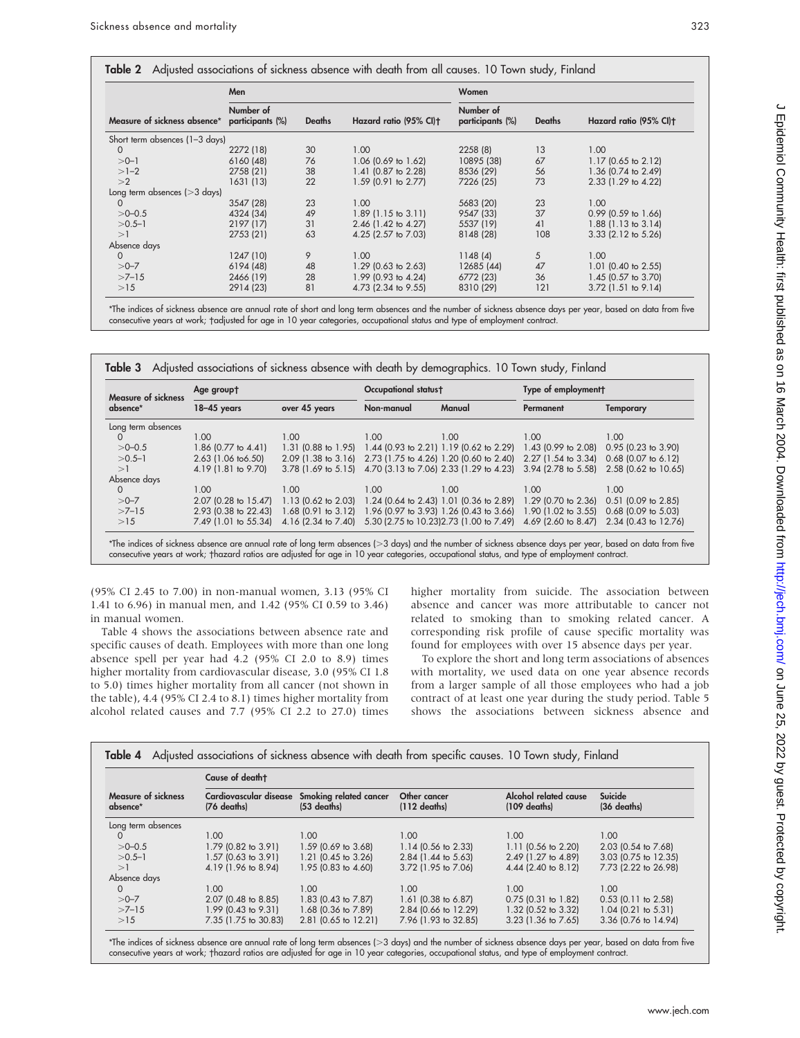Table 2 Adjusted associations of sickness absence with death from all causes. 10 Town study, Finland

|                                  | Men                           |               |                        | Women                         |               |                        |
|----------------------------------|-------------------------------|---------------|------------------------|-------------------------------|---------------|------------------------|
| Measure of sickness absence*     | Number of<br>participants (%) | <b>Deaths</b> | Hazard ratio (95% CI)t | Number of<br>participants (%) | <b>Deaths</b> | Hazard ratio (95% CI)t |
| Short term absences (1-3 days)   |                               |               |                        |                               |               |                        |
| $\mathbf{0}$                     | 2272 (18)                     | 30            | 1.00                   | 2258 (8)                      | 13            | 1.00                   |
| $>0-1$                           | 6160 (48)                     | 76            | 1.06 (0.69 to 1.62)    | 10895 (38)                    | 67            | 1.17 (0.65 to 2.12)    |
| $>1-2$                           | 2758 (21)                     | 38            | 1.41 (0.87 to 2.28)    | 8536 (29)                     | 56            | 1.36 (0.74 to 2.49)    |
| >2                               | 1631 (13)                     | 22            | 1.59 (0.91 to 2.77)    | 7226 (25)                     | 73            | 2.33 (1.29 to 4.22)    |
| Long term absences ( $>$ 3 days) |                               |               |                        |                               |               |                        |
| $\Omega$                         | 3547 (28)                     | 23            | 1.00 <sub>1</sub>      | 5683 (20)                     | 23            | 1.00                   |
| $>0 - 0.5$                       | 4324 (34)                     | 49            | $1.89$ (1.15 to 3.11)  | 9547 (33)                     | 37            | $0.99$ (0.59 to 1.66)  |
| $>0.5-1$                         | 2197 (17)                     | 31            | 2.46 (1.42 to 4.27)    | 5537 (19)                     | 41            | 1.88 (1.13 to 3.14)    |
| >1                               | 2753 (21)                     | 63            | 4.25 (2.57 to 7.03)    | 8148 (28)                     | 108           | 3.33 (2.12 to 5.26)    |
| Absence days                     |                               |               |                        |                               |               |                        |
| $\Omega$                         | 1247 (10)                     | 9             | 1.00                   | 1148(4)                       | 5             | 1.00                   |
| $>0-7$                           | 6194 (48)                     | 48            | 1.29 (0.63 to 2.63)    | 12685 (44)                    | 47            | $1.01$ (0.40 to 2.55)  |
| $>7 - 15$                        | 2466 (19)                     | 28            | 1.99 (0.93 to 4.24)    | 6772 (23)                     | 36            | 1.45 (0.57 to 3.70)    |
| >15                              | 2914 (23)                     | 81            | 4.73 (2.34 to 9.55)    | 8310 (29)                     | 121           | $3.72$ (1.51 to 9.14)  |

\*The indices of sickness absence are annual rate of short and long term absences and the number of sickness absence days per year, based on data from five consecutive years at work; †adjusted for age in 10 year categories, occupational status and type of employment contract.

|  |  | Table 3 Adjusted associations of sickness absence with death by demographics. 10 Town study, Finland |  |  |  |  |  |  |  |  |  |  |
|--|--|------------------------------------------------------------------------------------------------------|--|--|--|--|--|--|--|--|--|--|
|--|--|------------------------------------------------------------------------------------------------------|--|--|--|--|--|--|--|--|--|--|

| <b>Measure of sickness</b> | Age groupt            |                                                                                                                                                                                                                                   | Occupational statust |                                          | Type of employment†                                                                                                         |                                           |
|----------------------------|-----------------------|-----------------------------------------------------------------------------------------------------------------------------------------------------------------------------------------------------------------------------------|----------------------|------------------------------------------|-----------------------------------------------------------------------------------------------------------------------------|-------------------------------------------|
| absence*                   | $18-45$ years         | over 45 years                                                                                                                                                                                                                     | Non-manual           | Manual                                   | Permanent                                                                                                                   | <b>Temporary</b>                          |
| Long term absences         |                       |                                                                                                                                                                                                                                   |                      |                                          |                                                                                                                             |                                           |
| $\Omega$                   | 1.00                  | 1.00                                                                                                                                                                                                                              | 1.00                 | 1.00                                     | 1.00                                                                                                                        | 1.00                                      |
| $>0 - 0.5$                 | 1.86 (0.77 to 4.41)   |                                                                                                                                                                                                                                   |                      |                                          | 1.31 $(0.88 \text{ to } 1.95)$ 1.44 $(0.93 \text{ to } 2.21)$ 1.19 $(0.62 \text{ to } 2.29)$ 1.43 $(0.99 \text{ to } 2.08)$ | $0.95$ (0.23 to 3.90)                     |
| $>0.5-1$                   | $2.63$ (1.06 to 6.50) |                                                                                                                                                                                                                                   |                      |                                          | 2.09 (1.38 to 3.16) 2.73 (1.75 to 4.26) 1.20 (0.60 to 2.40) 2.27 (1.54 to 3.34)                                             | $0.68$ (0.07 to 6.12)                     |
| >1                         | 4.19 (1.81 to 9.70)   |                                                                                                                                                                                                                                   |                      |                                          | $3.78$ (1.69 to 5.15) $4.70$ (3.13 to 7.06) 2.33 (1.29 to 4.23) 3.94 (2.78 to 5.58)                                         | 2.58 (0.62 to 10.65)                      |
| Absence days               |                       |                                                                                                                                                                                                                                   |                      |                                          |                                                                                                                             |                                           |
| 0                          | 1.00                  | 1.00                                                                                                                                                                                                                              | 1.00                 | 1.00                                     | 1.00                                                                                                                        | 1.00                                      |
| $>0-7$                     | 2.07 (0.28 to 15.47)  |                                                                                                                                                                                                                                   |                      |                                          | 1.13 (0.62 to 2.03) 1.24 (0.64 to 2.43) 1.01 (0.36 to 2.89) 1.29 (0.70 to 2.36)                                             | $0.51$ (0.09 to 2.85)                     |
| $>7 - 15$                  | 2.93 (0.38 to 22.43)  | $1.68$ (0.91 to 3.12)                                                                                                                                                                                                             |                      | 1.96 (0.97 to 3.93) 1.26 (0.43 to 3.66)  |                                                                                                                             | 1.90 (1.02 to 3.55) 0.68 (0.09 to 5.03)   |
| >15                        | 7.49 (1.01 to 55.34)  | 4.16 (2.34 to 7.40)                                                                                                                                                                                                               |                      | 5.30 (2.75 to 10.23) 2.73 (1.00 to 7.49) |                                                                                                                             | 4.69 (2.60 to 8.47) 2.34 (0.43 to 12.76)  |
| $-1$ . I. $\ell$ . I.      |                       | $\mathbf{r}$ , and the contract of the contract of the contract of the contract of the contract of the contract of the contract of the contract of the contract of the contract of the contract of the contract of the contract o |                      |                                          |                                                                                                                             | $\sim$ $\sim$ $\sim$ $\sim$ $\sim$ $\sim$ |

\*The indices of sickness absence are annual rate of long term absences (.3 days) and the number of sickness absence days per year, based on data from five consecutive years at work; †hazard ratios are adjusted tor age in 10 year categories, occupational status, and type of employment contract.

(95% CI 2.45 to 7.00) in non-manual women, 3.13 (95% CI 1.41 to 6.96) in manual men, and 1.42 (95% CI 0.59 to 3.46) in manual women.

Table 4 shows the associations between absence rate and specific causes of death. Employees with more than one long absence spell per year had 4.2 (95% CI 2.0 to 8.9) times higher mortality from cardiovascular disease, 3.0 (95% CI 1.8 to 5.0) times higher mortality from all cancer (not shown in the table), 4.4 (95% CI 2.4 to 8.1) times higher mortality from alcohol related causes and 7.7 (95% CI 2.2 to 27.0) times higher mortality from suicide. The association between absence and cancer was more attributable to cancer not related to smoking than to smoking related cancer. A corresponding risk profile of cause specific mortality was found for employees with over 15 absence days per year.

To explore the short and long term associations of absences with mortality, we used data on one year absence records from a larger sample of all those employees who had a job contract of at least one year during the study period. Table 5 shows the associations between sickness absence and

|                                 | Cause of deatht                         |                                         |                                |                                         |                        |
|---------------------------------|-----------------------------------------|-----------------------------------------|--------------------------------|-----------------------------------------|------------------------|
| Measure of sickness<br>absence* | Cardiovascular disease<br>$(76$ deaths) | Smoking related cancer<br>$(53$ deaths) | Other cancer<br>$(112$ deaths) | Alcohol related cause<br>$(109$ deaths) | Suicide<br>(36 deaths) |
| Long term absences              |                                         |                                         |                                |                                         |                        |
| $\Omega$                        | 1.00                                    | 1.00                                    | 1.00                           | 1.00 <sub>1</sub>                       | 1.00                   |
| $>0-0.5$                        | 1.79 (0.82 to 3.91)                     | 1.59 (0.69 to 3.68)                     | $1.14$ (0.56 to 2.33)          | $1.11$ (0.56 to 2.20)                   | 2.03 (0.54 to 7.68)    |
| $>0.5-1$                        | 1.57 (0.63 to 3.91)                     | 1.21 $(0.45 \text{ to } 3.26)$          | 2.84 (1.44 to 5.63)            | 2.49 (1.27 to 4.89)                     | 3.03 (0.75 to 12.35)   |
| >1                              | 4.19 (1.96 to 8.94)                     | 1.95 (0.83 to 4.60)                     | 3.72 (1.95 to 7.06)            | 4.44 (2.40 to 8.12)                     | 7.73 (2.22 to 26.98)   |
| Absence days                    |                                         |                                         |                                |                                         |                        |
| $\Omega$                        | 1.00                                    | 1.00                                    | 1.00 <sub>1</sub>              | 1.00 <sub>1</sub>                       | 1.00 <sub>1</sub>      |
| $>0-7$                          | 2.07 (0.48 to 8.85)                     | 1.83 (0.43 to 7.87)                     | $1.61$ (0.38 to 6.87)          | $0.75$ (0.31 to 1.82)                   | $0.53$ (0.11 to 2.58)  |
| $>7 - 15$                       | 1.99 (0.43 to 9.31)                     | 1.68 (0.36 to 7.89)                     | 2.84 (0.66 to 12.29)           | 1.32 (0.52 to 3.32)                     | 1.04 (0.21 to 5.31)    |
| >15                             | 7.35 (1.75 to 30.83)                    | 2.81 (0.65 to 12.21)                    | 7.96 (1.93 to 32.85)           | $3.23$ (1.36 to 7.65)                   | 3.36 (0.76 to 14.94)   |

\*The indices of sickness absence are annual rate of long term absences (.3 days) and the number of sickness absence days per year, based on data from five consecutive years at work; †hazard ratios are adjusted for age in 10 year categories, occupational status, and type of employment contract.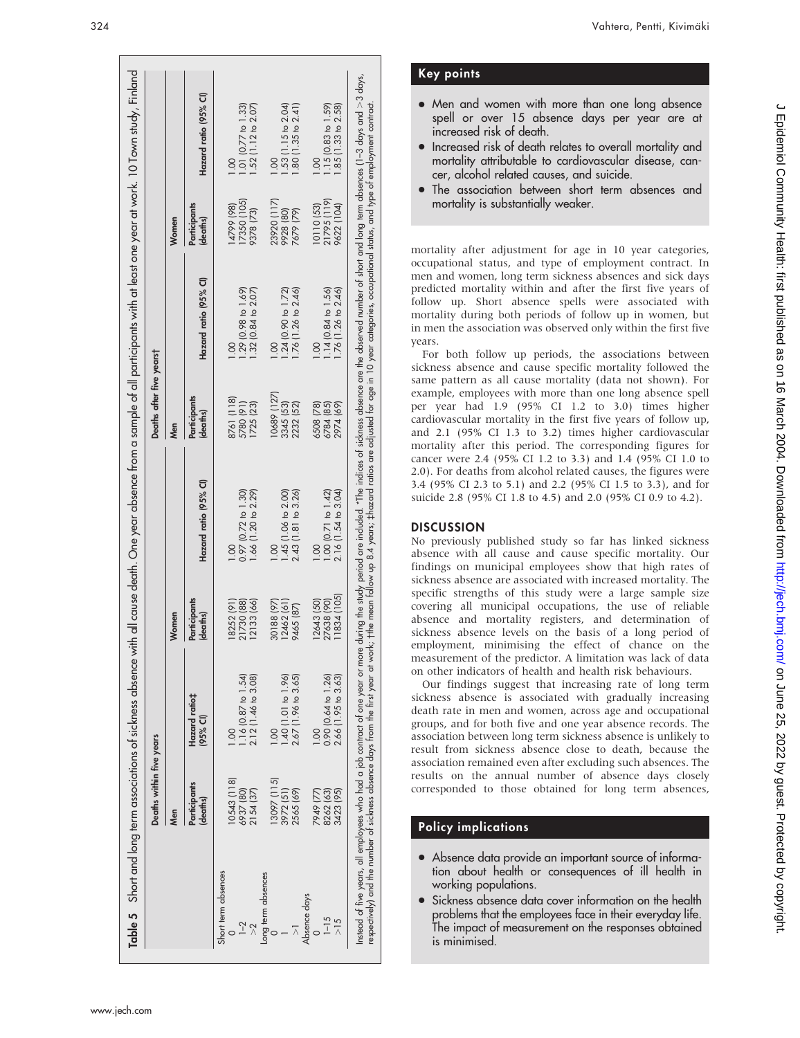|                     | Deaths within five years |                           |                          |                               | Deaths after five yearst |                               |                          |                              |
|---------------------|--------------------------|---------------------------|--------------------------|-------------------------------|--------------------------|-------------------------------|--------------------------|------------------------------|
|                     | Men                      |                           | Women                    |                               | Men                      |                               | Women                    |                              |
|                     | Participants<br>(deaths) | Hazard ratio‡<br>(95% CI) | Participants<br>(deaths) | Hazard ratio (95% CI)         | Participants<br>(deaths) | Hazard ratio (95% CI)         | Participants<br>(deaths) | Hazard ratio (95% CI)        |
| Short term absences |                          |                           |                          |                               |                          |                               |                          |                              |
|                     | 0543 (118)               |                           | 8252 (91)                |                               | 8761 (118)               | 00.1                          | 14799 (98)               | 00.1                         |
| $1 - 2$             | 6937 (80)                | $1.16(0.87)$ to $1.54$    | 21730 (88)               | $0.97$ (0.72 to 1.30)         | 5780 (91)                | .29(0.98 <sub>b</sub> 1.69)   | 17350 (105)              | $.01(0.77)$ to 1.33          |
|                     | 2154 (37)                | 2.12 (1.46 to 3.08)       | 12133 (66)               | $1.66$ (1.20 to 2.29)         | 1725 (23)                | $.32(0.84 \text{ to } 2.07)$  | 9378 [73]                | $1.52$ (1.12 to $2.07$ )     |
| Long term absences  |                          |                           |                          |                               |                          |                               |                          |                              |
|                     | 13097 (115)              | $\frac{8}{1}$             | 30188 (97)               |                               | 10689 (127)              | $\frac{8}{10}$                | 23920 (117)              |                              |
|                     | 3972 (51)                | 1.40 (1.01 to 1.96)       | 12462 (61)               | $.45(1.06)$ to $2.00$         | 3345 (53)                | .24(0.90 to 1.72)             | 9928 (80)                | .53 (1.15 to 2.04)           |
|                     | 2565 (69)                | 2.67 (1.96 to 3.65)       | 9465 (87)                | $2.43(1.81)$ to $3.26$        | 2232 (52)                | $.76$ (1.26 to 2.46)          | 7679 (79)                | $.80(1.35 \text{ to } 2.41)$ |
| Absence days        |                          |                           |                          |                               |                          |                               |                          |                              |
|                     | 7949 (77)                | $\frac{8}{100}$           | 2643 (50)                |                               | 6508 (78)                | 0.00                          | 10110 (53)               | $\frac{8}{1}$                |
| $1 - 15$            | 8262 (63)                | 0.90(0.64 b 1.26)         | 27638 (90)               | $1.00(0.71)$ to $1.42$        | 6784 (85)                | $1.14(0.84 \text{ to } 1.56)$ | 21795 (119)              | 1.15(0.83 <sub>b</sub> 1.59) |
|                     | 3423 (95)                | 2.66 (1.95 to 3.63)       | 11834 (105)              | $2.16(1.54 \text{ to } 3.04)$ | 2974 (69)                | $.76(1.26)$ to $2.46$         | 9622 (104)               | .85 (1.33 to 2.58)           |

## Key points

- 324 Vahtera, Pentti, Kivima¨ki
- J Epidemiol Community Health: first published as on 16 March 2004. Downloaded from <http://jech.bmj.com/> on June 25, 2022 by guest. Protected by copyright. Epidemiol Community Health: first published as on 16 March 2004. Downloaded from http://jech.bmj.com/ on June 25, 2022 by guest. Protected by copyright

## • Men and women with more than one long absence spell or over 15 absence days per year are at increased risk of death.

- Increased risk of death relates to overall mortality and mortality attributable to cardiovascular disease, cancer, alcohol related causes, and suicide.
- The association between short term absences and mortality is substantially weaker.

mortality after adjustment for age in 10 year categories, occupational status, and type of employment contract. In men and women, long term sickness absences and sick days predicted mortality within and after the first five years of follow up. Short absence spells were associated with mortality during both periods of follow up in women, but in men the association was observed only within the first five years.

For both follow up periods, the associations between sickness absence and cause specific mortality followed the same pattern as all cause mortality (data not shown). For example, employees with more than one long absence spell per year had 1.9 (95% CI 1.2 to 3.0) times higher cardiovascular mortality in the first five years of follow up, and 2.1 (95% CI 1.3 to 3.2) times higher cardiovascular mortality after this period. The corresponding figures for cancer were 2.4 (95% CI 1.2 to 3.3) and 1.4 (95% CI 1.0 to 2.0). For deaths from alcohol related causes, the figures were 3.4 (95% CI 2.3 to 5.1) and 2.2 (95% CI 1.5 to 3.3), and for suicide 2.8 (95% CI 1.8 to 4.5) and 2.0 (95% CI 0.9 to 4.2).

## **DISCUSSION**

No previously published study so far has linked sickness absence with all cause and cause specific mortality. Our findings on municipal employees show that high rates of sickness absence are associated with increased mortality. The specific strengths of this study were a large sample size covering all municipal occupations, the use of reliable absence and mortality registers, and determination of sickness absence levels on the basis of a long period of employment, minimising the effect of chance on the measurement of the predictor. A limitation was lack of data on other indicators of health and health risk behaviours.

Our findings suggest that increasing rate of long term sickness absence is associated with gradually increasing death rate in men and women, across age and occupational groups, and for both five and one year absence records. The association between long term sickness absence is unlikely to result from sickness absence close to death, because the association remained even after excluding such absences. The results on the annual number of absence days closely corresponded to those obtained for long term absences,

## Policy implications

- Absence data provide an important source of information about health or consequences of ill health in working populations.
- Sickness absence data cover information on the health problems that the employees face in their everyday life. The impact of measurement on the responses obtained is minimised.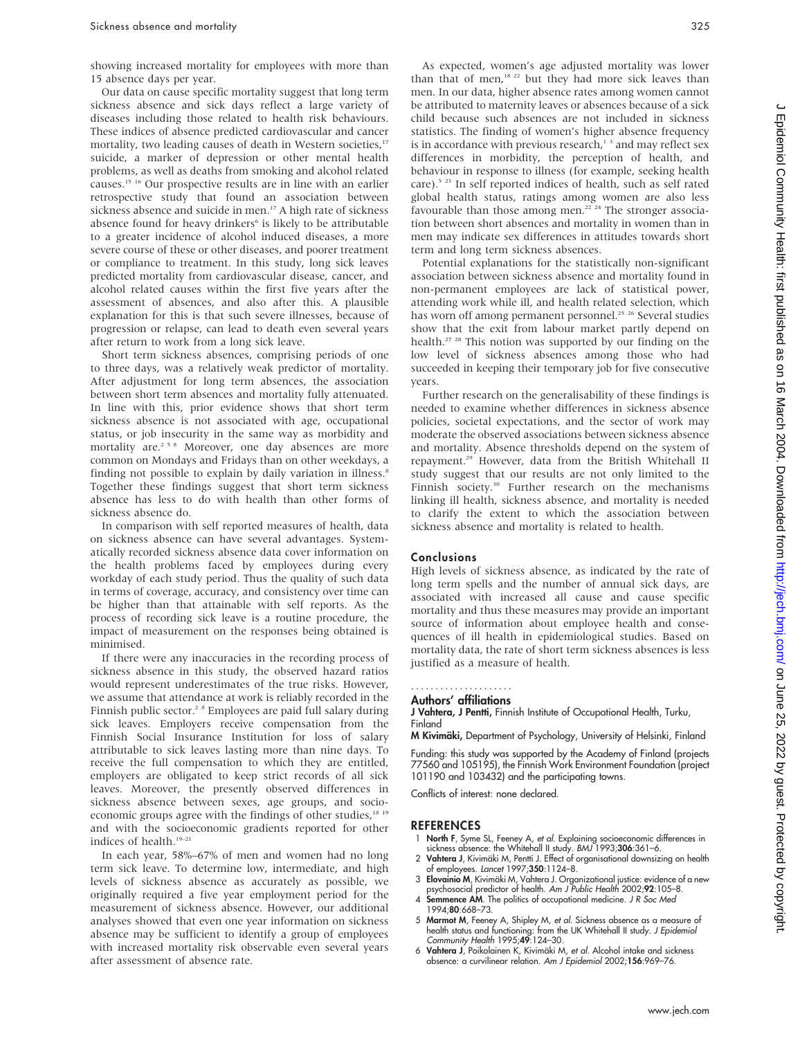showing increased mortality for employees with more than 15 absence days per year.

Our data on cause specific mortality suggest that long term sickness absence and sick days reflect a large variety of diseases including those related to health risk behaviours. These indices of absence predicted cardiovascular and cancer mortality, two leading causes of death in Western societies,<sup>17</sup> suicide, a marker of depression or other mental health problems, as well as deaths from smoking and alcohol related causes.15 16 Our prospective results are in line with an earlier retrospective study that found an association between sickness absence and suicide in men.<sup>17</sup> A high rate of sickness absence found for heavy drinkers<sup>6</sup> is likely to be attributable to a greater incidence of alcohol induced diseases, a more severe course of these or other diseases, and poorer treatment or compliance to treatment. In this study, long sick leaves predicted mortality from cardiovascular disease, cancer, and alcohol related causes within the first five years after the assessment of absences, and also after this. A plausible explanation for this is that such severe illnesses, because of progression or relapse, can lead to death even several years after return to work from a long sick leave.

Short term sickness absences, comprising periods of one to three days, was a relatively weak predictor of mortality. After adjustment for long term absences, the association between short term absences and mortality fully attenuated. In line with this, prior evidence shows that short term sickness absence is not associated with age, occupational status, or job insecurity in the same way as morbidity and mortality are.<sup>258</sup> Moreover, one day absences are more common on Mondays and Fridays than on other weekdays, a finding not possible to explain by daily variation in illness.<sup>8</sup> Together these findings suggest that short term sickness absence has less to do with health than other forms of sickness absence do.

In comparison with self reported measures of health, data on sickness absence can have several advantages. Systematically recorded sickness absence data cover information on the health problems faced by employees during every workday of each study period. Thus the quality of such data in terms of coverage, accuracy, and consistency over time can be higher than that attainable with self reports. As the process of recording sick leave is a routine procedure, the impact of measurement on the responses being obtained is minimised.

If there were any inaccuracies in the recording process of sickness absence in this study, the observed hazard ratios would represent underestimates of the true risks. However, we assume that attendance at work is reliably recorded in the Finnish public sector.<sup>2</sup> <sup>8</sup> Employees are paid full salary during sick leaves. Employers receive compensation from the Finnish Social Insurance Institution for loss of salary attributable to sick leaves lasting more than nine days. To receive the full compensation to which they are entitled, employers are obligated to keep strict records of all sick leaves. Moreover, the presently observed differences in sickness absence between sexes, age groups, and socioeconomic groups agree with the findings of other studies,<sup>18 19</sup> and with the socioeconomic gradients reported for other indices of health.19–21

In each year, 58%–67% of men and women had no long term sick leave. To determine low, intermediate, and high levels of sickness absence as accurately as possible, we originally required a five year employment period for the measurement of sickness absence. However, our additional analyses showed that even one year information on sickness absence may be sufficient to identify a group of employees with increased mortality risk observable even several years after assessment of absence rate.

As expected, women's age adjusted mortality was lower than that of men,<sup>18 22</sup> but they had more sick leaves than men. In our data, higher absence rates among women cannot be attributed to maternity leaves or absences because of a sick child because such absences are not included in sickness statistics. The finding of women's higher absence frequency is in accordance with previous research, $1$ <sup>3</sup> and may reflect sex differences in morbidity, the perception of health, and behaviour in response to illness (for example, seeking health care).5 23 In self reported indices of health, such as self rated global health status, ratings among women are also less favourable than those among men.<sup>22 24</sup> The stronger association between short absences and mortality in women than in men may indicate sex differences in attitudes towards short term and long term sickness absences.

Potential explanations for the statistically non-significant association between sickness absence and mortality found in non-permanent employees are lack of statistical power, attending work while ill, and health related selection, which has worn off among permanent personnel.<sup>25</sup> <sup>26</sup> Several studies show that the exit from labour market partly depend on health.27 28 This notion was supported by our finding on the low level of sickness absences among those who had succeeded in keeping their temporary job for five consecutive years.

Further research on the generalisability of these findings is needed to examine whether differences in sickness absence policies, societal expectations, and the sector of work may moderate the observed associations between sickness absence and mortality. Absence thresholds depend on the system of repayment.29 However, data from the British Whitehall II study suggest that our results are not only limited to the Finnish society.<sup>30</sup> Further research on the mechanisms linking ill health, sickness absence, and mortality is needed to clarify the extent to which the association between sickness absence and mortality is related to health.

## Conclusions

High levels of sickness absence, as indicated by the rate of long term spells and the number of annual sick days, are associated with increased all cause and cause specific mortality and thus these measures may provide an important source of information about employee health and consequences of ill health in epidemiological studies. Based on mortality data, the rate of short term sickness absences is less justified as a measure of health.

#### Authors' affiliations .....................

J Vahtera, J Pentti, Finnish Institute of Occupational Health, Turku, Finland

M Kivimäki, Department of Psychology, University of Helsinki, Finland

Funding: this study was supported by the Academy of Finland (projects 77560 and 105195), the Finnish Work Environment Foundation (project 101190 and 103432) and the participating towns.

Conflicts of interest: none declared.

#### **REFERENCES**

- 1 North F, Syme SL, Feeney A, et al. Explaining socioeconomic differences in sickness absence: the Whitehall II study. BMJ 1993;306:361-6.
- 2 Vahtera J, Kivimäki M, Pentti J. Effect of organisational downsizing on health of employees. Lancet 1997;350:1124–8.
- 3 **Elovainio M**, Kivimäki M, Vahtera J. Organizational justice: evidence of a new<br>psychosocial predictor of health. *Am J Public Health* 2002;**92**:105–8.
- 4 Semmence AM. The politics of occupational medicine. J R Soc Med 1994;80:668–73.
- 5 Marmot M, Feeney A, Shipley M, et al. Sickness absence as a measure of health status and functioning: from the UK Whitehall II study. J Epidemiol Community Health 1995;49:124-30.
- 6 Vahtera J, Poikolainen K, Kivimäki M, et al. Alcohol intake and sickness absence: a curvilinear relation. Am J Epidemiol 2002;156:969–76.